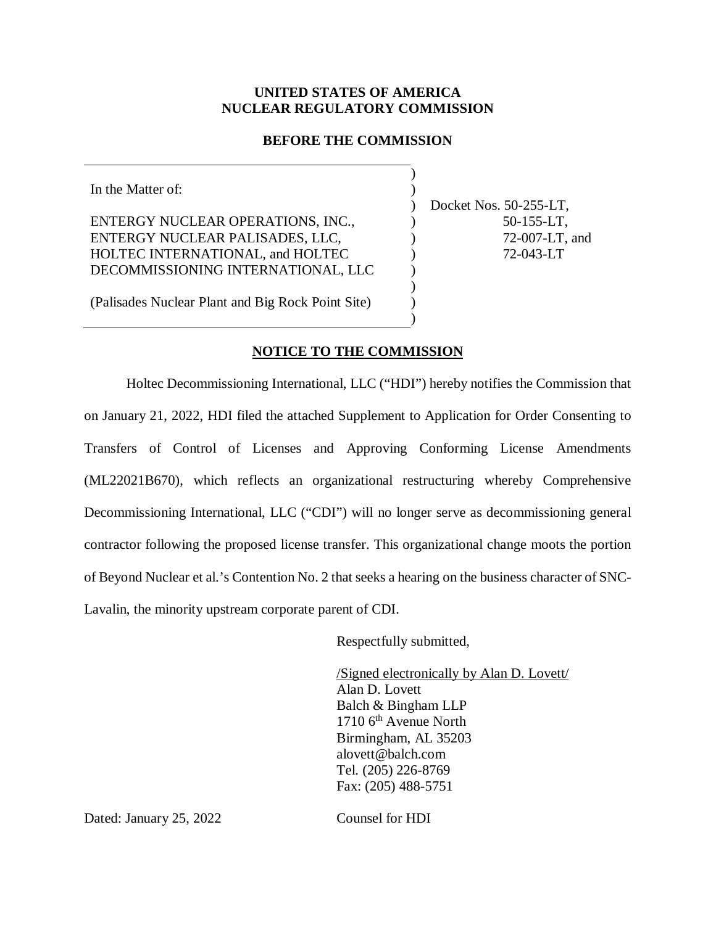## **UNITED STATES OF AMERICA NUCLEAR REGULATORY COMMISSION**

## **BEFORE THE COMMISSION**

) )  $\mathcal{L}$  $\lambda$ )  $\lambda$ ) ) ) )

In the Matter of: ENTERGY NUCLEAR OPERATIONS, INC., ENTERGY NUCLEAR PALISADES, LLC, HOLTEC INTERNATIONAL, and HOLTEC DECOMMISSIONING INTERNATIONAL, LLC (Palisades Nuclear Plant and Big Rock Point Site)

Docket Nos. 50-255-LT, 50-155-LT, 72-007-LT, and 72-043-LT

## **NOTICE TO THE COMMISSION**

Holtec Decommissioning International, LLC ("HDI") hereby notifies the Commission that on January 21, 2022, HDI filed the attached Supplement to Application for Order Consenting to Transfers of Control of Licenses and Approving Conforming License Amendments (ML22021B670), which reflects an organizational restructuring whereby Comprehensive Decommissioning International, LLC ("CDI") will no longer serve as decommissioning general contractor following the proposed license transfer. This organizational change moots the portion of Beyond Nuclear et al.'s Contention No. 2 that seeks a hearing on the business character of SNC-Lavalin, the minority upstream corporate parent of CDI.

Respectfully submitted,

/Signed electronically by Alan D. Lovett/ Alan D. Lovett Balch & Bingham LLP 1710 6<sup>th</sup> Avenue North Birmingham, AL 35203 alovett@balch.com Tel. (205) 226-8769 Fax: (205) 488-5751

Dated: January 25, 2022 Counsel for HDI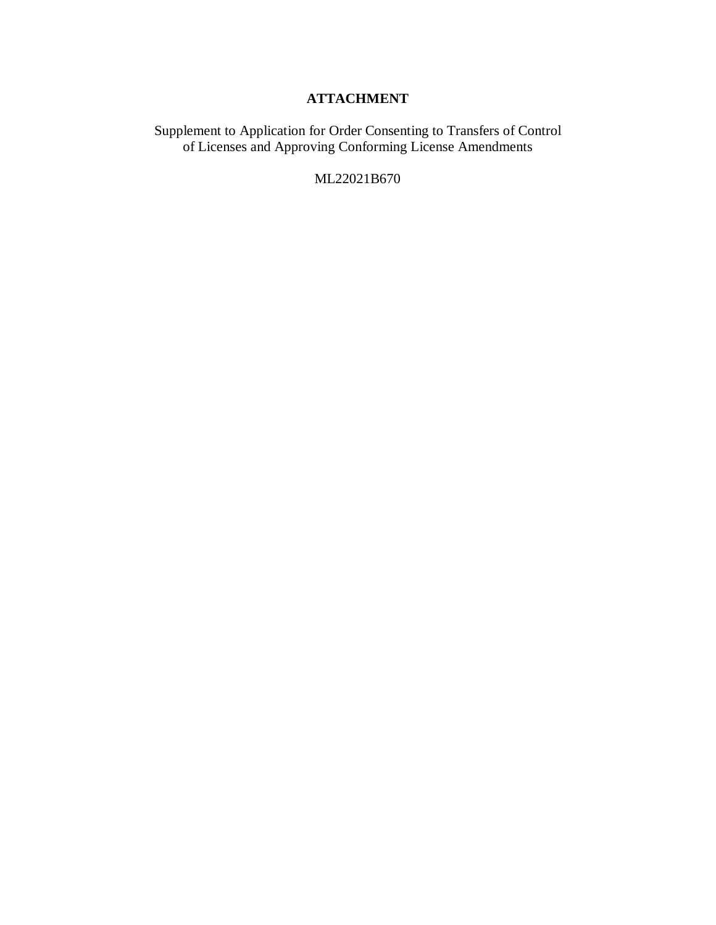# **ATTACHMENT**

Supplement to Application for Order Consenting to Transfers of Control of Licenses and Approving Conforming License Amendments

ML22021B670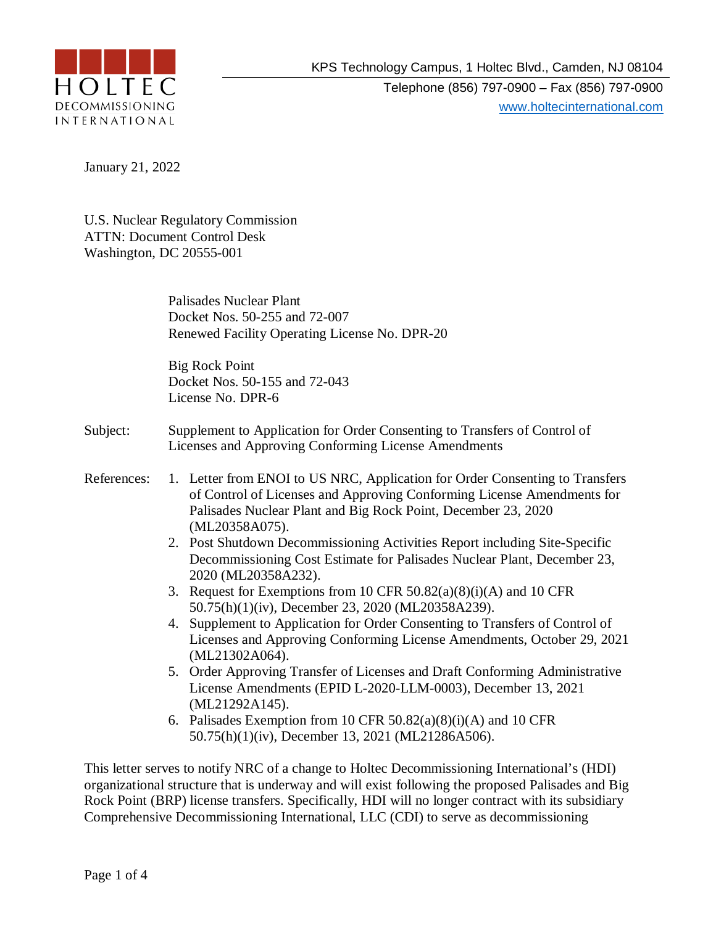

Telephone (856) 797-0900 – Fax (856) 797-0900 www.holtecinternational.com

January 21, 2022

U.S. Nuclear Regulatory Commission ATTN: Document Control Desk Washington, DC 20555-001

> Palisades Nuclear Plant Docket Nos. 50-255 and 72-007 Renewed Facility Operating License No. DPR-20

Big Rock Point Docket Nos. 50-155 and 72-043 License No. DPR-6

- Subject: Supplement to Application for Order Consenting to Transfers of Control of Licenses and Approving Conforming License Amendments
- References: 1. Letter from ENOI to US NRC, Application for Order Consenting to Transfers of Control of Licenses and Approving Conforming License Amendments for Palisades Nuclear Plant and Big Rock Point, December 23, 2020 (ML20358A075).
	- 2. Post Shutdown Decommissioning Activities Report including Site-Specific Decommissioning Cost Estimate for Palisades Nuclear Plant, December 23, 2020 (ML20358A232).
	- 3. Request for Exemptions from 10 CFR  $50.82(a)(8)(i)(A)$  and 10 CFR 50.75(h)(1)(iv), December 23, 2020 (ML20358A239).
	- 4. Supplement to Application for Order Consenting to Transfers of Control of Licenses and Approving Conforming License Amendments, October 29, 2021 (ML21302A064).
	- 5. Order Approving Transfer of Licenses and Draft Conforming Administrative License Amendments (EPID L-2020-LLM-0003), December 13, 2021 (ML21292A145).
	- 6. Palisades Exemption from 10 CFR 50.82(a)(8)(i)(A) and 10 CFR 50.75(h)(1)(iv), December 13, 2021 (ML21286A506).

This letter serves to notify NRC of a change to Holtec Decommissioning International's (HDI) organizational structure that is underway and will exist following the proposed Palisades and Big Rock Point (BRP) license transfers. Specifically, HDI will no longer contract with its subsidiary Comprehensive Decommissioning International, LLC (CDI) to serve as decommissioning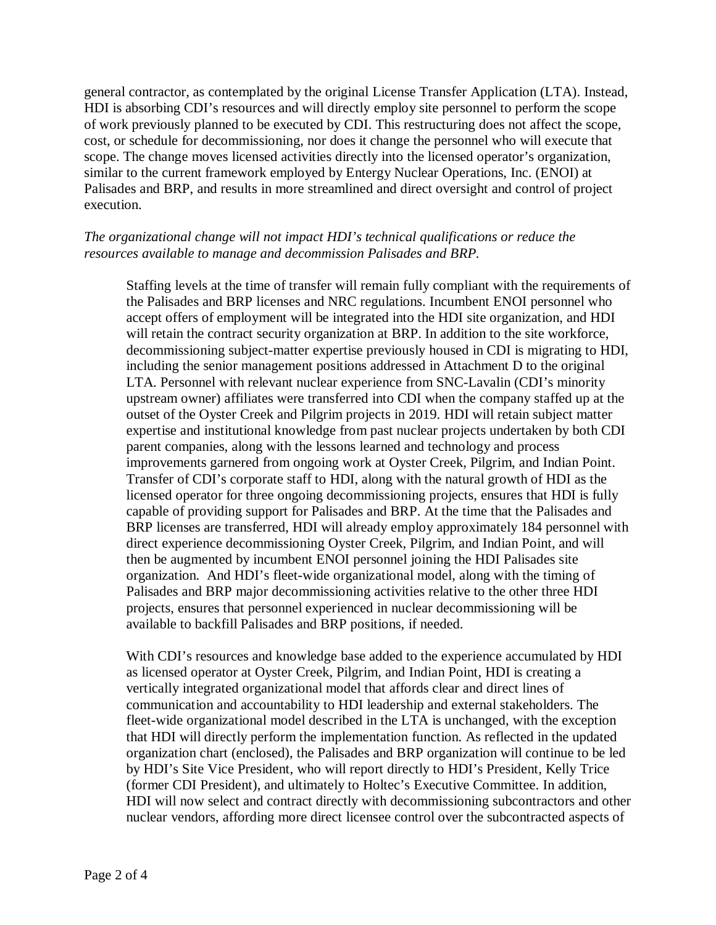general contractor, as contemplated by the original License Transfer Application (LTA). Instead, HDI is absorbing CDI's resources and will directly employ site personnel to perform the scope of work previously planned to be executed by CDI. This restructuring does not affect the scope, cost, or schedule for decommissioning, nor does it change the personnel who will execute that scope. The change moves licensed activities directly into the licensed operator's organization, similar to the current framework employed by Entergy Nuclear Operations, Inc. (ENOI) at Palisades and BRP, and results in more streamlined and direct oversight and control of project execution.

## *The organizational change will not impact HDI's technical qualifications or reduce the resources available to manage and decommission Palisades and BRP.*

Staffing levels at the time of transfer will remain fully compliant with the requirements of the Palisades and BRP licenses and NRC regulations. Incumbent ENOI personnel who accept offers of employment will be integrated into the HDI site organization, and HDI will retain the contract security organization at BRP. In addition to the site workforce, decommissioning subject-matter expertise previously housed in CDI is migrating to HDI, including the senior management positions addressed in Attachment D to the original LTA. Personnel with relevant nuclear experience from SNC-Lavalin (CDI's minority upstream owner) affiliates were transferred into CDI when the company staffed up at the outset of the Oyster Creek and Pilgrim projects in 2019. HDI will retain subject matter expertise and institutional knowledge from past nuclear projects undertaken by both CDI parent companies, along with the lessons learned and technology and process improvements garnered from ongoing work at Oyster Creek, Pilgrim, and Indian Point. Transfer of CDI's corporate staff to HDI, along with the natural growth of HDI as the licensed operator for three ongoing decommissioning projects, ensures that HDI is fully capable of providing support for Palisades and BRP. At the time that the Palisades and BRP licenses are transferred, HDI will already employ approximately 184 personnel with direct experience decommissioning Oyster Creek, Pilgrim, and Indian Point, and will then be augmented by incumbent ENOI personnel joining the HDI Palisades site organization. And HDI's fleet-wide organizational model, along with the timing of Palisades and BRP major decommissioning activities relative to the other three HDI projects, ensures that personnel experienced in nuclear decommissioning will be available to backfill Palisades and BRP positions, if needed.

With CDI's resources and knowledge base added to the experience accumulated by HDI as licensed operator at Oyster Creek, Pilgrim, and Indian Point, HDI is creating a vertically integrated organizational model that affords clear and direct lines of communication and accountability to HDI leadership and external stakeholders. The fleet-wide organizational model described in the LTA is unchanged, with the exception that HDI will directly perform the implementation function. As reflected in the updated organization chart (enclosed), the Palisades and BRP organization will continue to be led by HDI's Site Vice President, who will report directly to HDI's President, Kelly Trice (former CDI President), and ultimately to Holtec's Executive Committee. In addition, HDI will now select and contract directly with decommissioning subcontractors and other nuclear vendors, affording more direct licensee control over the subcontracted aspects of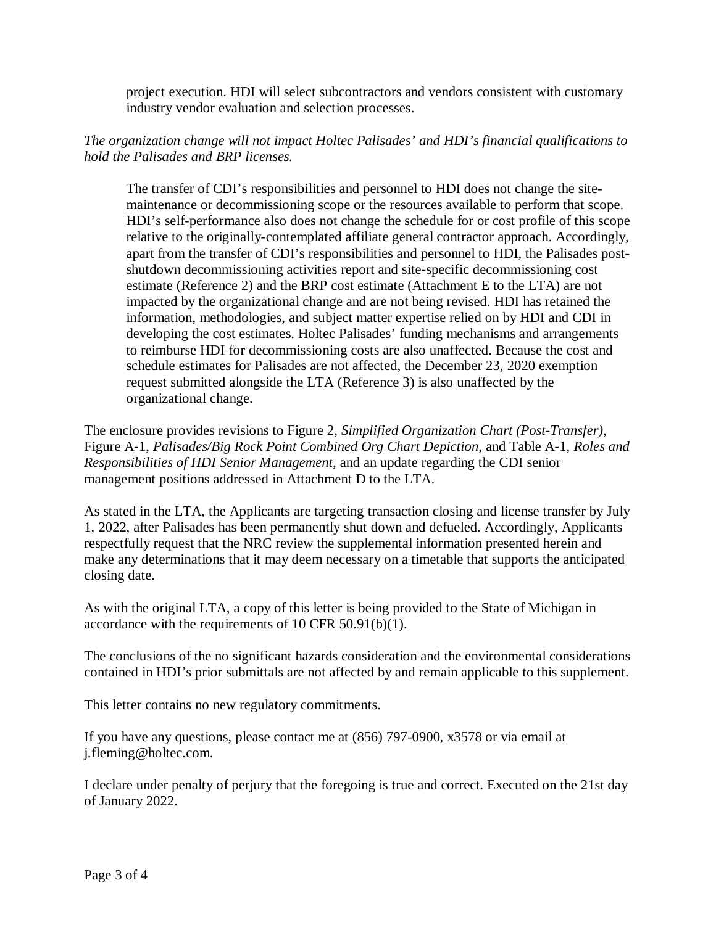project execution. HDI will select subcontractors and vendors consistent with customary industry vendor evaluation and selection processes.

## *The organization change will not impact Holtec Palisades' and HDI's financial qualifications to hold the Palisades and BRP licenses.*

The transfer of CDI's responsibilities and personnel to HDI does not change the sitemaintenance or decommissioning scope or the resources available to perform that scope. HDI's self-performance also does not change the schedule for or cost profile of this scope relative to the originally-contemplated affiliate general contractor approach. Accordingly, apart from the transfer of CDI's responsibilities and personnel to HDI, the Palisades postshutdown decommissioning activities report and site-specific decommissioning cost estimate (Reference 2) and the BRP cost estimate (Attachment E to the LTA) are not impacted by the organizational change and are not being revised. HDI has retained the information, methodologies, and subject matter expertise relied on by HDI and CDI in developing the cost estimates. Holtec Palisades' funding mechanisms and arrangements to reimburse HDI for decommissioning costs are also unaffected. Because the cost and schedule estimates for Palisades are not affected, the December 23, 2020 exemption request submitted alongside the LTA (Reference 3) is also unaffected by the organizational change.

The enclosure provides revisions to Figure 2, *Simplified Organization Chart (Post-Transfer)*, Figure A-1, *Palisades/Big Rock Point Combined Org Chart Depiction*, and Table A-1, *Roles and Responsibilities of HDI Senior Management*, and an update regarding the CDI senior management positions addressed in Attachment D to the LTA.

As stated in the LTA, the Applicants are targeting transaction closing and license transfer by July 1, 2022, after Palisades has been permanently shut down and defueled. Accordingly, Applicants respectfully request that the NRC review the supplemental information presented herein and make any determinations that it may deem necessary on a timetable that supports the anticipated closing date.

As with the original LTA, a copy of this letter is being provided to the State of Michigan in accordance with the requirements of 10 CFR 50.91(b)(1).

The conclusions of the no significant hazards consideration and the environmental considerations contained in HDI's prior submittals are not affected by and remain applicable to this supplement.

This letter contains no new regulatory commitments.

If you have any questions, please contact me at (856) 797-0900, x3578 or via email at j.fleming@holtec.com.

I declare under penalty of perjury that the foregoing is true and correct. Executed on the 21st day of January 2022.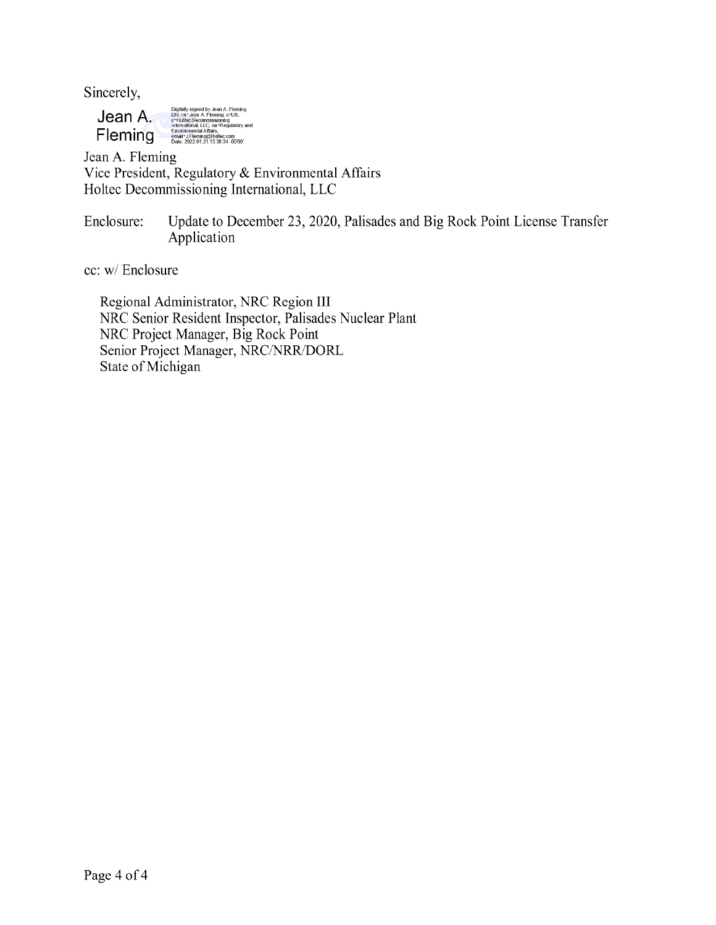Sincerely,

Digitally signed by Jean A. Fleming<br>DN: cn=Jean A. Fleming, c=US,<br>o=Flokec Decommissioning<br>International, LLC, ou=Regulatory and<br>Environmental Affairs, Jean A. Fleming compoundent Allafs,<br>|email=J.Fleming@Holtec.com<br>|Date: 2022.01.21 15:38:34 -05'00'

Jean A. Fleming Vice President, Regulatory & Environmental Affairs Holtec Decommissioning International, LLC

Update to December 23, 2020, Palisades and Big Rock Point License Transfer Enclosure: Application

cc: w/ Enclosure

Regional Administrator, NRC Region III NRC Senior Resident Inspector, Palisades Nuclear Plant NRC Project Manager, Big Rock Point Senior Project Manager, NRC/NRR/DORL State of Michigan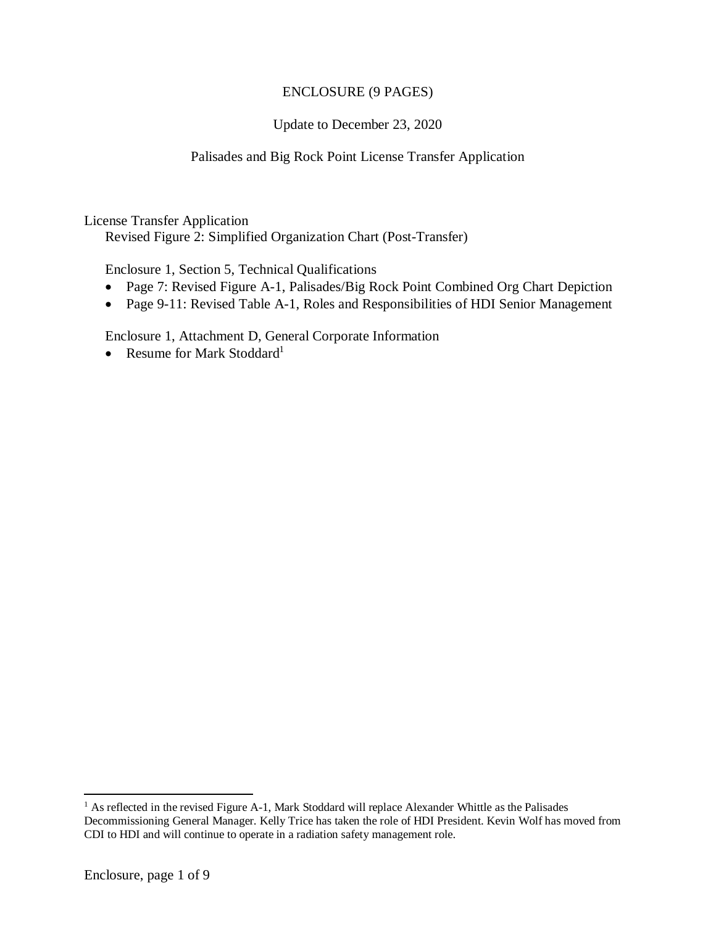## ENCLOSURE (9 PAGES)

## Update to December 23, 2020

## Palisades and Big Rock Point License Transfer Application

License Transfer Application

Revised Figure 2: Simplified Organization Chart (Post-Transfer)

Enclosure 1, Section 5, Technical Qualifications

- Page 7: Revised Figure A-1, Palisades/Big Rock Point Combined Org Chart Depiction
- Page 9-11: Revised Table A-1, Roles and Responsibilities of HDI Senior Management

Enclosure 1, Attachment D, General Corporate Information

• Resume for Mark Stoddard<sup>1</sup>

<sup>&</sup>lt;sup>1</sup> As reflected in the revised Figure A-1, Mark Stoddard will replace Alexander Whittle as the Palisades Decommissioning General Manager. Kelly Trice has taken the role of HDI President. Kevin Wolf has moved from CDI to HDI and will continue to operate in a radiation safety management role.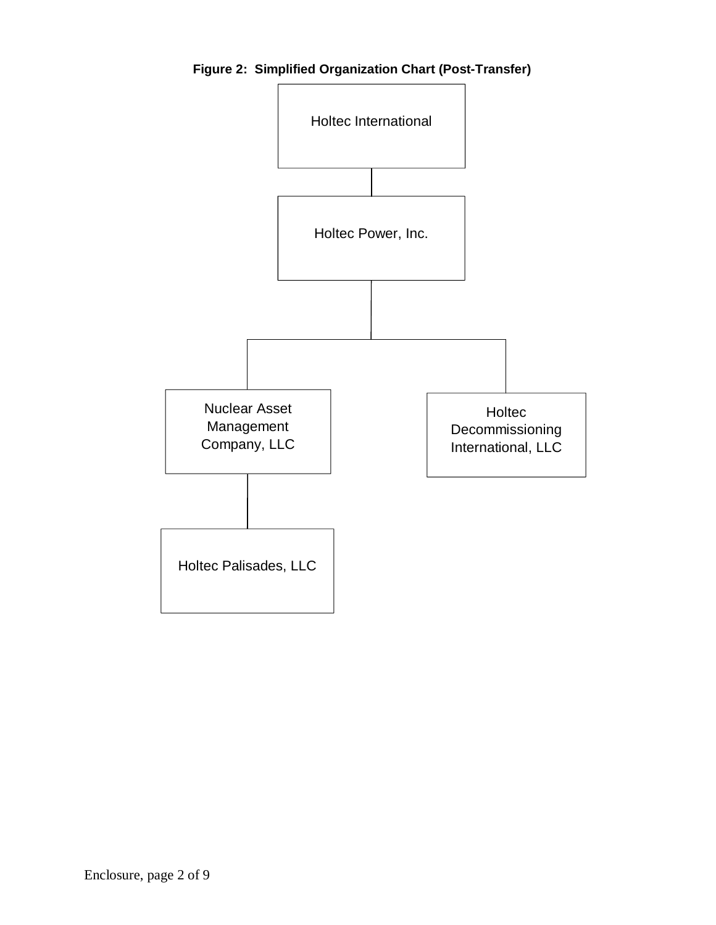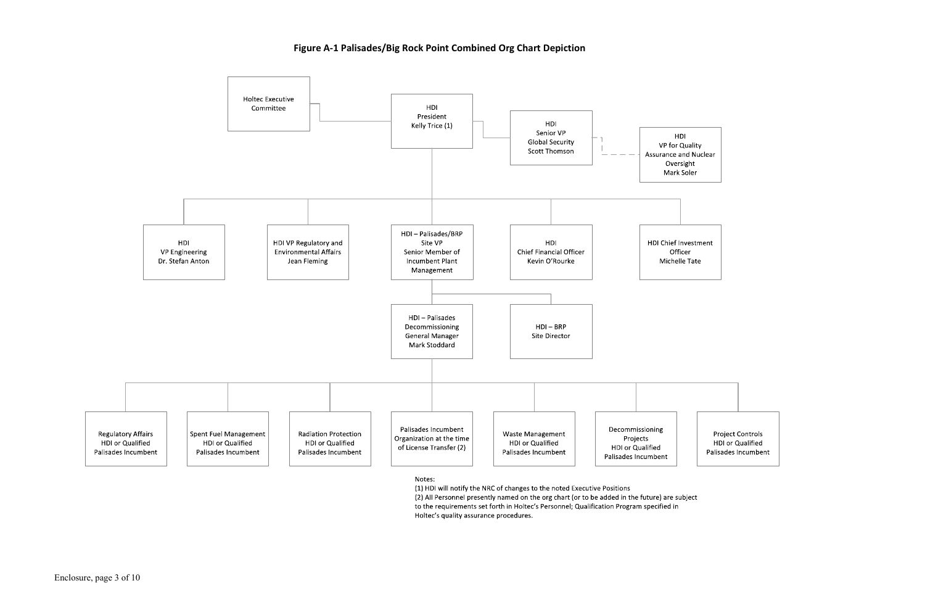# Figure A-1 Palisades/Big Rock Point Combined Org Chart Depiction



Notes:

(1) HDI will notify the NRC of changes to the noted Executive Positions

(2) All Personnel presently named on the org chart (or to be added in the future) are subject to the requirements set forth in Holtec's Personnel; Qualification Program specified in Holtec's quality assurance procedures.

| וס          |
|-------------|
| Quality     |
| ınd Nuclear |
| sight       |
| Soler       |
|             |

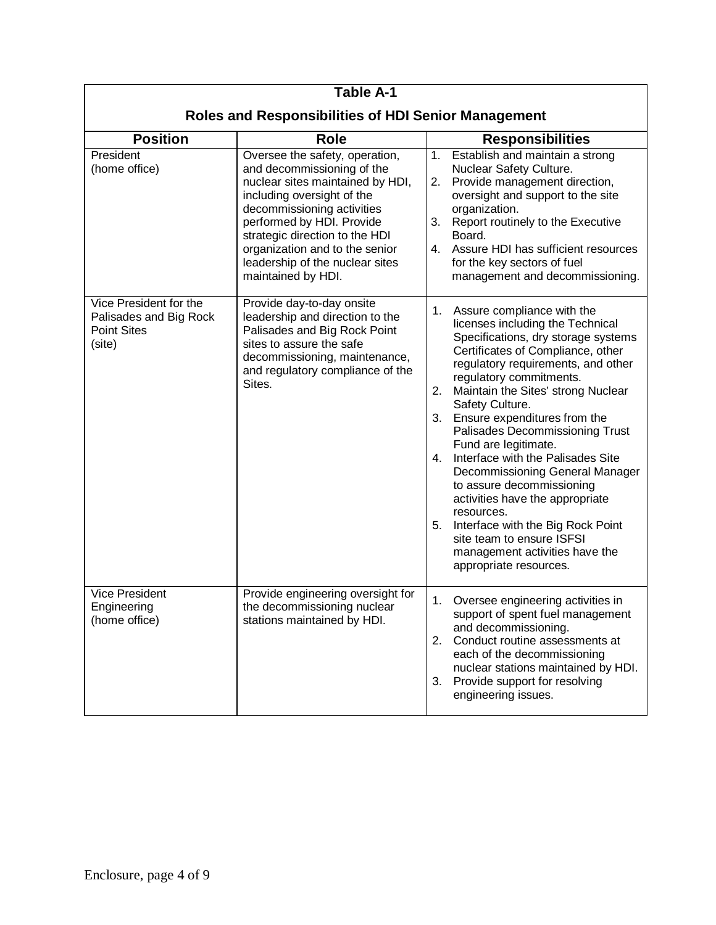| <b>Table A-1</b>                                                                 |                                                                                                                                                                                                                                                                                                                        |                                                                                                                                                                                                                                                                                                                                                                                                                                                                                                                                                                                                                                                                                |  |  |
|----------------------------------------------------------------------------------|------------------------------------------------------------------------------------------------------------------------------------------------------------------------------------------------------------------------------------------------------------------------------------------------------------------------|--------------------------------------------------------------------------------------------------------------------------------------------------------------------------------------------------------------------------------------------------------------------------------------------------------------------------------------------------------------------------------------------------------------------------------------------------------------------------------------------------------------------------------------------------------------------------------------------------------------------------------------------------------------------------------|--|--|
| <b>Roles and Responsibilities of HDI Senior Management</b>                       |                                                                                                                                                                                                                                                                                                                        |                                                                                                                                                                                                                                                                                                                                                                                                                                                                                                                                                                                                                                                                                |  |  |
| <b>Position</b>                                                                  | <b>Role</b>                                                                                                                                                                                                                                                                                                            | <b>Responsibilities</b>                                                                                                                                                                                                                                                                                                                                                                                                                                                                                                                                                                                                                                                        |  |  |
| President<br>(home office)                                                       | Oversee the safety, operation,<br>and decommissioning of the<br>nuclear sites maintained by HDI,<br>including oversight of the<br>decommissioning activities<br>performed by HDI. Provide<br>strategic direction to the HDI<br>organization and to the senior<br>leadership of the nuclear sites<br>maintained by HDI. | 1.<br>Establish and maintain a strong<br>Nuclear Safety Culture.<br>2. Provide management direction,<br>oversight and support to the site<br>organization.<br>Report routinely to the Executive<br>3.<br>Board.<br>4. Assure HDI has sufficient resources<br>for the key sectors of fuel<br>management and decommissioning.                                                                                                                                                                                                                                                                                                                                                    |  |  |
| Vice President for the<br>Palisades and Big Rock<br><b>Point Sites</b><br>(site) | Provide day-to-day onsite<br>leadership and direction to the<br>Palisades and Big Rock Point<br>sites to assure the safe<br>decommissioning, maintenance,<br>and regulatory compliance of the<br>Sites.                                                                                                                | 1.<br>Assure compliance with the<br>licenses including the Technical<br>Specifications, dry storage systems<br>Certificates of Compliance, other<br>regulatory requirements, and other<br>regulatory commitments.<br>2.<br>Maintain the Sites' strong Nuclear<br>Safety Culture.<br>3. Ensure expenditures from the<br>Palisades Decommissioning Trust<br>Fund are legitimate.<br>Interface with the Palisades Site<br>4.<br>Decommissioning General Manager<br>to assure decommissioning<br>activities have the appropriate<br>resources.<br>Interface with the Big Rock Point<br>5.<br>site team to ensure ISFSI<br>management activities have the<br>appropriate resources. |  |  |
| <b>Vice President</b><br>Engineering<br>(home office)                            | Provide engineering oversight for<br>the decommissioning nuclear<br>stations maintained by HDI.                                                                                                                                                                                                                        | 1<br>Oversee engineering activities in<br>support of spent fuel management<br>and decommissioning.<br>Conduct routine assessments at<br>2.<br>each of the decommissioning<br>nuclear stations maintained by HDI.<br>Provide support for resolving<br>3.<br>engineering issues.                                                                                                                                                                                                                                                                                                                                                                                                 |  |  |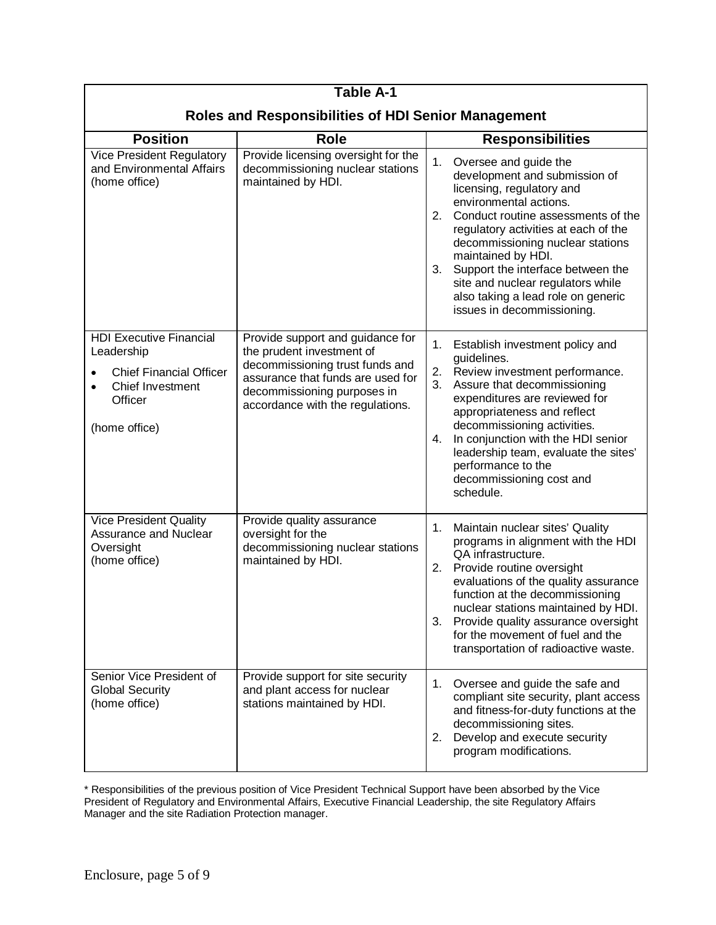| <b>Table A-1</b>                                                                                                               |                                                                                                                                                                                                          |                                                                                                                                                                                                                                                                                                                                                                                                                       |  |  |
|--------------------------------------------------------------------------------------------------------------------------------|----------------------------------------------------------------------------------------------------------------------------------------------------------------------------------------------------------|-----------------------------------------------------------------------------------------------------------------------------------------------------------------------------------------------------------------------------------------------------------------------------------------------------------------------------------------------------------------------------------------------------------------------|--|--|
| <b>Roles and Responsibilities of HDI Senior Management</b>                                                                     |                                                                                                                                                                                                          |                                                                                                                                                                                                                                                                                                                                                                                                                       |  |  |
| <b>Position</b>                                                                                                                | <b>Role</b>                                                                                                                                                                                              | <b>Responsibilities</b>                                                                                                                                                                                                                                                                                                                                                                                               |  |  |
| <b>Vice President Regulatory</b><br>and Environmental Affairs<br>(home office)                                                 | Provide licensing oversight for the<br>decommissioning nuclear stations<br>maintained by HDI.                                                                                                            | 1.<br>Oversee and guide the<br>development and submission of<br>licensing, regulatory and<br>environmental actions.<br>2.<br>Conduct routine assessments of the<br>regulatory activities at each of the<br>decommissioning nuclear stations<br>maintained by HDI.<br>3.<br>Support the interface between the<br>site and nuclear regulators while<br>also taking a lead role on generic<br>issues in decommissioning. |  |  |
| <b>HDI Executive Financial</b><br>Leadership<br><b>Chief Financial Officer</b><br>Chief Investment<br>Officer<br>(home office) | Provide support and guidance for<br>the prudent investment of<br>decommissioning trust funds and<br>assurance that funds are used for<br>decommissioning purposes in<br>accordance with the regulations. | 1.<br>Establish investment policy and<br>guidelines.<br>2.<br>Review investment performance.<br>3.<br>Assure that decommissioning<br>expenditures are reviewed for<br>appropriateness and reflect<br>decommissioning activities.<br>In conjunction with the HDI senior<br>4.<br>leadership team, evaluate the sites'<br>performance to the<br>decommissioning cost and<br>schedule.                                   |  |  |
| <b>Vice President Quality</b><br><b>Assurance and Nuclear</b><br>Oversight<br>(home office)                                    | Provide quality assurance<br>oversight for the<br>decommissioning nuclear stations<br>maintained by HDI.                                                                                                 | 1.<br>Maintain nuclear sites' Quality<br>programs in alignment with the HDI<br>QA infrastructure.<br>2. Provide routine oversight<br>evaluations of the quality assurance<br>function at the decommissioning<br>nuclear stations maintained by HDI.<br>Provide quality assurance oversight<br>3.<br>for the movement of fuel and the<br>transportation of radioactive waste.                                          |  |  |
| Senior Vice President of<br><b>Global Security</b><br>(home office)                                                            | Provide support for site security<br>and plant access for nuclear<br>stations maintained by HDI.                                                                                                         | 1.<br>Oversee and guide the safe and<br>compliant site security, plant access<br>and fitness-for-duty functions at the<br>decommissioning sites.<br>Develop and execute security<br>2.<br>program modifications.                                                                                                                                                                                                      |  |  |

\* Responsibilities of the previous position of Vice President Technical Support have been absorbed by the Vice President of Regulatory and Environmental Affairs, Executive Financial Leadership, the site Regulatory Affairs Manager and the site Radiation Protection manager.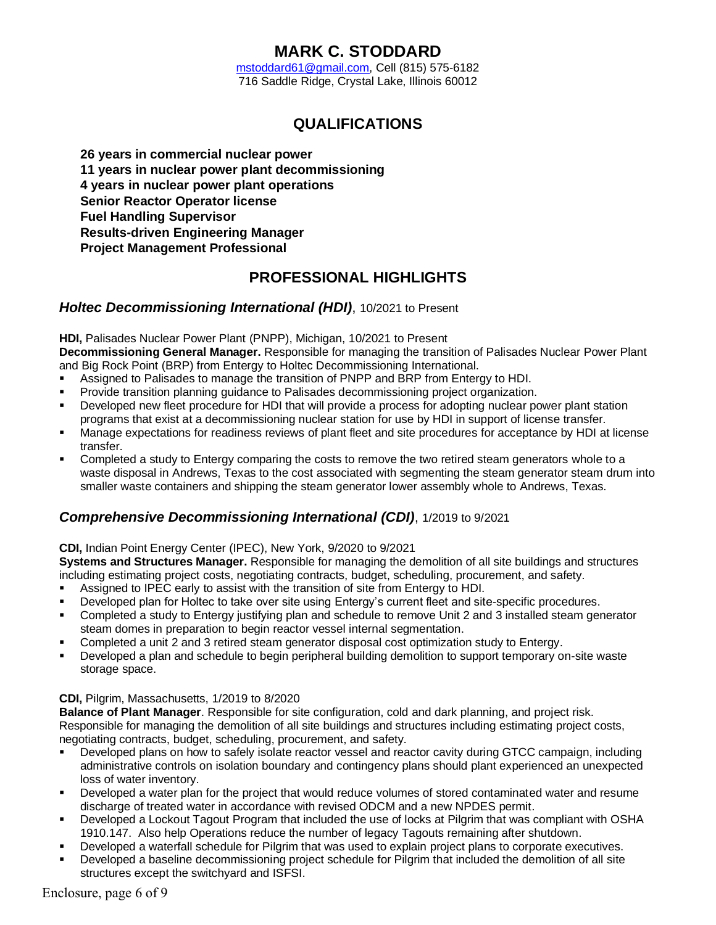# **MARK C. STODDARD**

mstoddard61@gmail.com, Cell (815) 575-6182 716 Saddle Ridge, Crystal Lake, Illinois 60012

# **QUALIFICATIONS**

- Ï. **26 years in commercial nuclear power**
- ï **11 years in nuclear power plant decommissioning**
- ï **4 years in nuclear power plant operations**
- ï. **Senior Reactor Operator license**
- ï. **Fuel Handling Supervisor**
- ï. **Results-driven Engineering Manager**
- ï. **Project Management Professional**

# **PROFESSIONAL HIGHLIGHTS**

### *Holtec Decommissioning International (HDI)*, 10/2021 to Present

#### **HDI, Palisades Nuclear Power Plant (PNPP), Michigan, 10/2021 to Present**

**Decommissioning General Manager.** Responsible for managing the transition of Palisades Nuclear Power Plant and Big Rock Point (BRP) from Entergy to Holtec Decommissioning International.

- & Assigned to Palisades to manage the transition of PNPP and BRP from Entergy to HDI.
- & Provide transition planning guidance to Palisades decommissioning project organization.
- Developed new fleet procedure for HDI that will provide a process for adopting nuclear power plant station programs that exist at a decommissioning nuclear station for use by HDI in support of license transfer.
- & Manage expectations for readiness reviews of plant fleet and site procedures for acceptance by HDI at license transfer.
- Completed a study to Entergy comparing the costs to remove the two retired steam generators whole to a waste disposal in Andrews, Texas to the cost associated with segmenting the steam generator steam drum into smaller waste containers and shipping the steam generator lower assembly whole to Andrews, Texas.

## *Comprehensive Decommissioning International (CDI)*, 1/2019 to 9/2021

### **CDI,** Indian Point Energy Center (IPEC), New York, 9/2020 to 9/2021

**Systems and Structures Manager.** Responsible for managing the demolition of all site buildings and structures including estimating project costs, negotiating contracts, budget, scheduling, procurement, and safety.

- & Assigned to IPEC early to assist with the transition of site from Entergy to HDI.
- Developed plan for Holtec to take over site using Entergy's current fleet and site-specific procedures.
- Completed a study to Entergy justifying plan and schedule to remove Unit 2 and 3 installed steam generator steam domes in preparation to begin reactor vessel internal segmentation.
- Completed a unit 2 and 3 retired steam generator disposal cost optimization study to Entergy.
- Developed a plan and schedule to begin peripheral building demolition to support temporary on-site waste storage space.

### **CDI,** Pilgrim, Massachusetts, 1/2019 to 8/2020

**Balance of Plant Manager**. Responsible for site configuration, cold and dark planning, and project risk. Responsible for managing the demolition of all site buildings and structures including estimating project costs, negotiating contracts, budget, scheduling, procurement, and safety.

- Developed plans on how to safely isolate reactor vessel and reactor cavity during GTCC campaign, including administrative controls on isolation boundary and contingency plans should plant experienced an unexpected loss of water inventory.
- Developed a water plan for the project that would reduce volumes of stored contaminated water and resume discharge of treated water in accordance with revised ODCM and a new NPDES permit.
- Developed a Lockout Tagout Program that included the use of locks at Pilgrim that was compliant with OSHA 1910.147. Also help Operations reduce the number of legacy Tagouts remaining after shutdown.
- Developed a waterfall schedule for Pilgrim that was used to explain project plans to corporate executives.
- Developed a baseline decommissioning project schedule for Pilgrim that included the demolition of all site structures except the switchyard and ISFSI.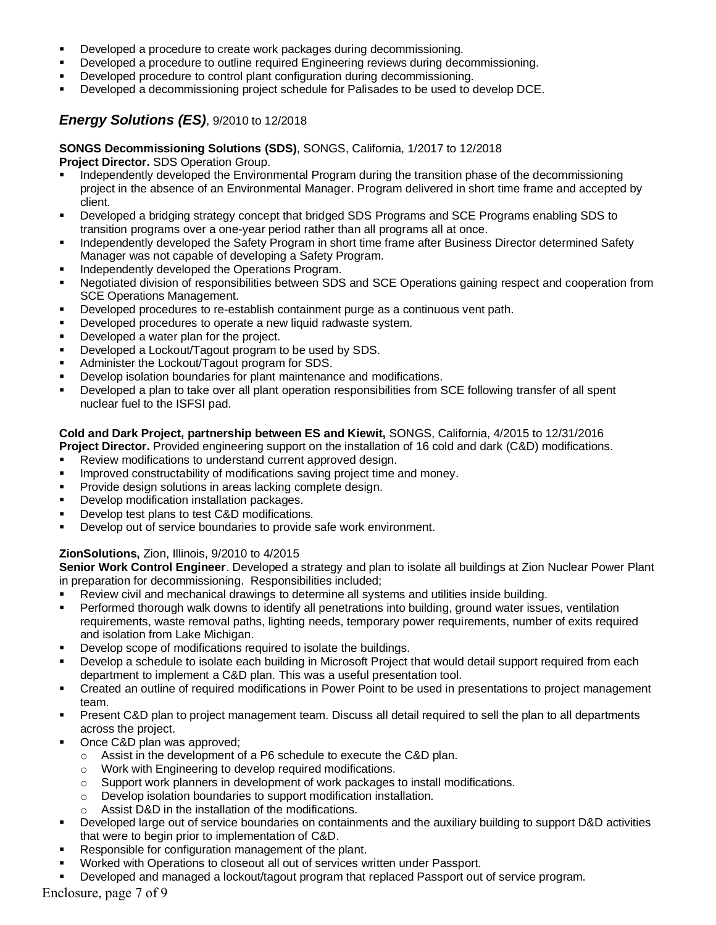- Developed a procedure to create work packages during decommissioning.
- Developed a procedure to outline required Engineering reviews during decommissioning.
- Developed procedure to control plant configuration during decommissioning.
- Developed a decommissioning project schedule for Palisades to be used to develop DCE.

## *Energy Solutions (ES)*, 9/2010 to 12/2018

**SONGS Decommissioning Solutions (SDS)**, SONGS, California, 1/2017 to 12/2018 **Project Director.** SDS Operation Group.

- Independently developed the Environmental Program during the transition phase of the decommissioning project in the absence of an Environmental Manager. Program delivered in short time frame and accepted by client.
- Developed a bridging strategy concept that bridged SDS Programs and SCE Programs enabling SDS to transition programs over a one-year period rather than all programs all at once.
- Independently developed the Safety Program in short time frame after Business Director determined Safety Manager was not capable of developing a Safety Program.
- Independently developed the Operations Program.
- Negotiated division of responsibilities between SDS and SCE Operations gaining respect and cooperation from SCE Operations Management.
- **Developed procedures to re-establish containment purge as a continuous vent path.**
- **Developed procedures to operate a new liquid radwaste system.**
- Developed a water plan for the project.
- Developed a Lockout/Tagout program to be used by SDS.
- Administer the Lockout/Tagout program for SDS.
- Develop isolation boundaries for plant maintenance and modifications.
- Developed a plan to take over all plant operation responsibilities from SCE following transfer of all spent nuclear fuel to the ISFSI pad.

### **Cold and Dark Project, partnership between ES and Kiewit,** SONGS, California, 4/2015 to 12/31/2016

**Project Director.** Provided engineering support on the installation of 16 cold and dark (C&D) modifications.

- Review modifications to understand current approved design.
- Improved constructability of modifications saving project time and money.
- Provide design solutions in areas lacking complete design.
- Develop modification installation packages.
- Develop test plans to test C&D modifications.
- **Develop out of service boundaries to provide safe work environment.**

### **ZionSolutions,** Zion, Illinois, 9/2010 to 4/2015

**Senior Work Control Engineer**. Developed a strategy and plan to isolate all buildings at Zion Nuclear Power Plant in preparation for decommissioning. Responsibilities included;

- & Review civil and mechanical drawings to determine all systems and utilities inside building.
- **EXEDENT Performed thorough walk downs to identify all penetrations into building, ground water issues, ventilation** requirements, waste removal paths, lighting needs, temporary power requirements, number of exits required and isolation from Lake Michigan.
- Develop scope of modifications required to isolate the buildings.
- Develop a schedule to isolate each building in Microsoft Project that would detail support required from each department to implement a C&D plan. This was a useful presentation tool.
- & Created an outline of required modifications in Power Point to be used in presentations to project management team.
- & Present C&D plan to project management team. Discuss all detail required to sell the plan to all departments across the project.
- Once C&D plan was approved;
	- $\circ$  Assist in the development of a P6 schedule to execute the C&D plan.
	- o Work with Engineering to develop required modifications.
	- $\circ$  Support work planners in development of work packages to install modifications.
	- o Develop isolation boundaries to support modification installation.
	- o Assist D&D in the installation of the modifications.
- Developed large out of service boundaries on containments and the auxiliary building to support D&D activities that were to begin prior to implementation of C&D.
- Responsible for configuration management of the plant.
- Worked with Operations to closeout all out of services written under Passport.
- Developed and managed a lockout/tagout program that replaced Passport out of service program.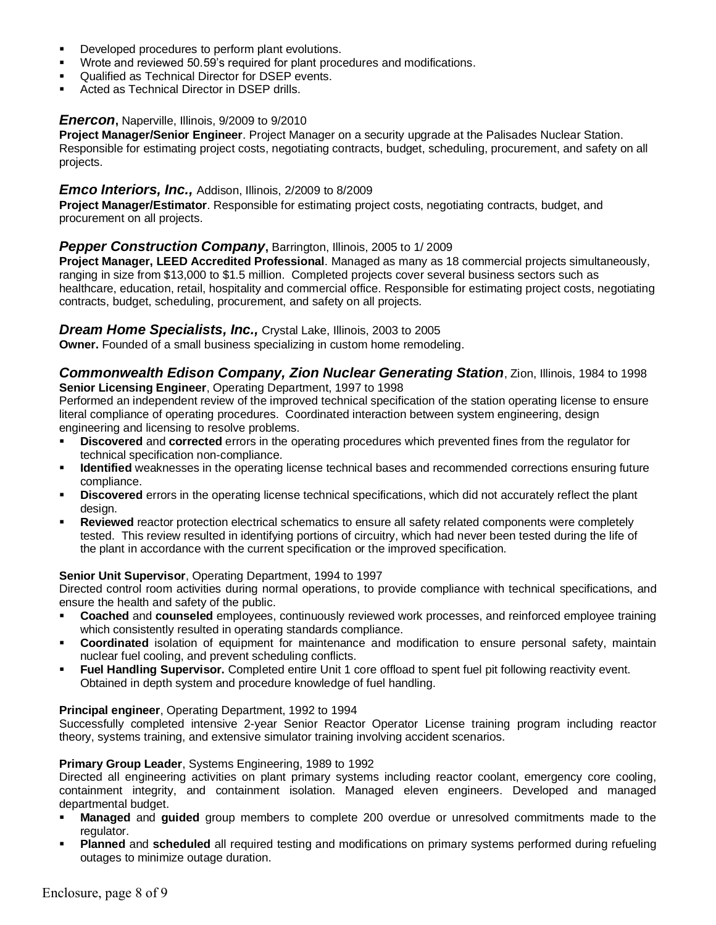- **Developed procedures to perform plant evolutions.**
- Wrote and reviewed 50.59's required for plant procedures and modifications.
- Qualified as Technical Director for DSEP events.
- Acted as Technical Director in DSEP drills.

### *Enercon***,** Naperville, Illinois, 9/2009 to 9/2010

**Project Manager/Senior Engineer**. Project Manager on a security upgrade at the Palisades Nuclear Station. Responsible for estimating project costs, negotiating contracts, budget, scheduling, procurement, and safety on all projects.

#### *Emco Interiors, Inc.,* Addison, Illinois, 2/2009 to 8/2009

**Project Manager/Estimator**. Responsible for estimating project costs, negotiating contracts, budget, and procurement on all projects.

### **Pepper Construction Company**, Barrington, Illinois, 2005 to 1/2009

**Project Manager, LEED Accredited Professional**. Managed as many as 18 commercial projects simultaneously, ranging in size from \$13,000 to \$1.5 million. Completed projects cover several business sectors such as healthcare, education, retail, hospitality and commercial office. Responsible for estimating project costs, negotiating contracts, budget, scheduling, procurement, and safety on all projects.

### *Dream Home Specialists, Inc.,* Crystal Lake, Illinois, 2003 to 2005

**Owner.** Founded of a small business specializing in custom home remodeling.

*Commonwealth Edison Company, Zion Nuclear Generating Station*, Zion, Illinois, 1984 to 1998 **Senior Licensing Engineer**, Operating Department, 1997 to 1998

Performed an independent review of the improved technical specification of the station operating license to ensure literal compliance of operating procedures. Coordinated interaction between system engineering, design engineering and licensing to resolve problems.

- & **Discovered** and **corrected** errors in the operating procedures which prevented fines from the regulator for technical specification non-compliance.
- **I** Identified weaknesses in the operating license technical bases and recommended corrections ensuring future compliance.
- & **Discovered** errors in the operating license technical specifications, which did not accurately reflect the plant design.
- **Reviewed** reactor protection electrical schematics to ensure all safety related components were completely tested. This review resulted in identifying portions of circuitry, which had never been tested during the life of the plant in accordance with the current specification or the improved specification.

#### **Senior Unit Supervisor**, Operating Department, 1994 to 1997

Directed control room activities during normal operations, to provide compliance with technical specifications, and ensure the health and safety of the public.

- & **Coached** and **counseled** employees, continuously reviewed work processes, and reinforced employee training which consistently resulted in operating standards compliance.
- & **Coordinated** isolation of equipment for maintenance and modification to ensure personal safety, maintain nuclear fuel cooling, and prevent scheduling conflicts.
- **Fuel Handling Supervisor.** Completed entire Unit 1 core offload to spent fuel pit following reactivity event. Obtained in depth system and procedure knowledge of fuel handling.

#### **Principal engineer**, Operating Department, 1992 to 1994

Successfully completed intensive 2-year Senior Reactor Operator License training program including reactor theory, systems training, and extensive simulator training involving accident scenarios.

#### **Primary Group Leader**, Systems Engineering, 1989 to 1992

Directed all engineering activities on plant primary systems including reactor coolant, emergency core cooling, containment integrity, and containment isolation. Managed eleven engineers. Developed and managed departmental budget.

- & **Managed** and **guided** group members to complete 200 overdue or unresolved commitments made to the regulator.
- **Planned** and **scheduled** all required testing and modifications on primary systems performed during refueling outages to minimize outage duration.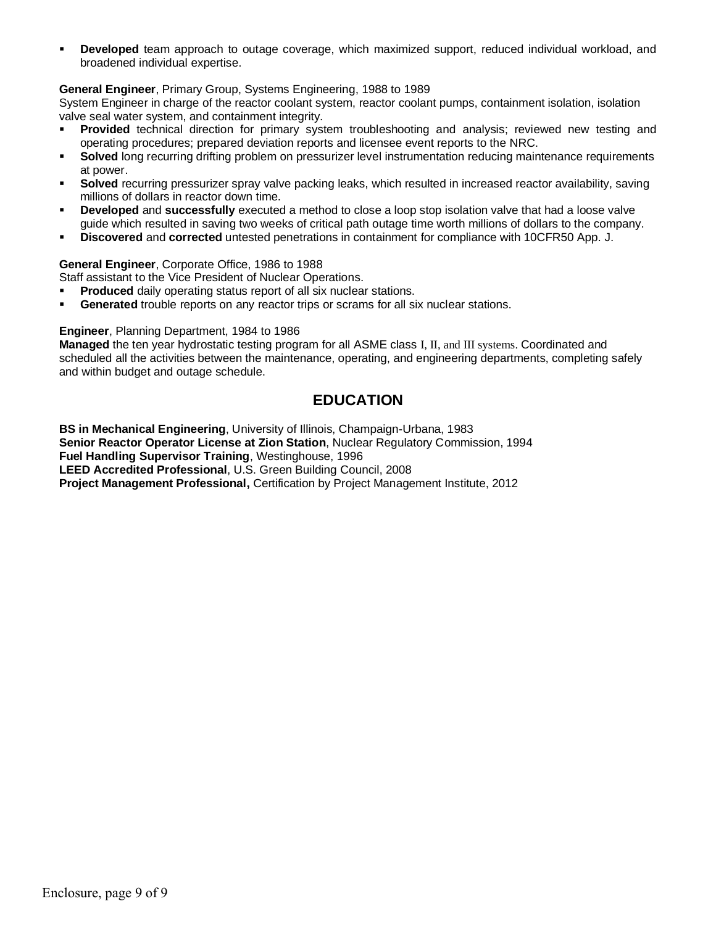**Developed** team approach to outage coverage, which maximized support, reduced individual workload, and broadened individual expertise.

#### **General Engineer**, Primary Group, Systems Engineering, 1988 to 1989

System Engineer in charge of the reactor coolant system, reactor coolant pumps, containment isolation, isolation valve seal water system, and containment integrity.

- **Provided** technical direction for primary system troubleshooting and analysis; reviewed new testing and operating procedures; prepared deviation reports and licensee event reports to the NRC.
- & **Solved** long recurring drifting problem on pressurizer level instrumentation reducing maintenance requirements at power.
- & **Solved** recurring pressurizer spray valve packing leaks, which resulted in increased reactor availability, saving millions of dollars in reactor down time.
- **Developed** and **successfully** executed a method to close a loop stop isolation valve that had a loose valve guide which resulted in saving two weeks of critical path outage time worth millions of dollars to the company.
- & **Discovered** and **corrected** untested penetrations in containment for compliance with 10CFR50 App. J.

#### **General Engineer**, Corporate Office, 1986 to 1988

Staff assistant to the Vice President of Nuclear Operations.

- **Produced** daily operating status report of all six nuclear stations.
- **Generated** trouble reports on any reactor trips or scrams for all six nuclear stations.

#### **Engineer**, Planning Department, 1984 to 1986

**Managed** the ten year hydrostatic testing program for all ASME class I, II, and III systems. Coordinated and scheduled all the activities between the maintenance, operating, and engineering departments, completing safely and within budget and outage schedule.

## **EDUCATION**

**BS in Mechanical Engineering**, University of Illinois, Champaign-Urbana, 1983 **Senior Reactor Operator License at Zion Station**, Nuclear Regulatory Commission, 1994 **Fuel Handling Supervisor Training**, Westinghouse, 1996 **LEED Accredited Professional**, U.S. Green Building Council, 2008 **Project Management Professional,** Certification by Project Management Institute, 2012